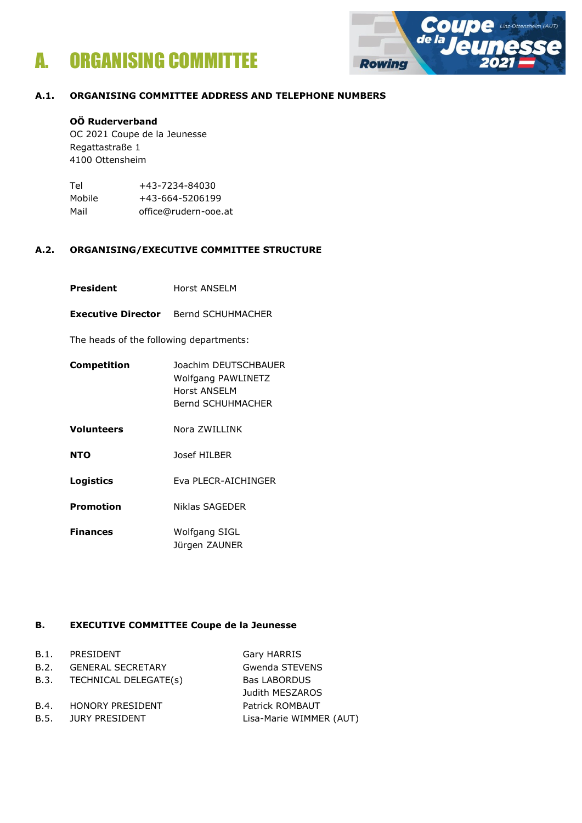



### **A.1. ORGANISING COMMITTEE ADDRESS AND TELEPHONE NUMBERS**

### **OÖ Ruderverband**

OC 2021 Coupe de la Jeunesse Regattastraße 1 4100 Ottensheim

| Tel    | +43-7234-84030       |  |  |  |
|--------|----------------------|--|--|--|
| Mobile | +43-664-5206199      |  |  |  |
| Mail   | office@rudern-ooe.at |  |  |  |

### **A.2. ORGANISING/EXECUTIVE COMMITTEE STRUCTURE**

- **President** Horst ANSELM
- **Executive Director** Bernd SCHUHMACHER

The heads of the following departments:

- **Competition** Joachim DEUTSCHBAUER Wolfgang PAWLINETZ Horst ANSELM Bernd SCHUHMACHER
- **Volunteers** Nora ZWILLINK
- **NTO** Josef HILBER
- **Logistics** Eva PLECR-AICHINGER
- **Promotion** Niklas SAGEDER
- **Finances** Wolfgang SIGL Jürgen ZAUNER

# **B. EXECUTIVE COMMITTEE Coupe de la Jeunesse**

|      | B.1. PRESIDENT               | Gary HARRIS             |
|------|------------------------------|-------------------------|
| B.2. | <b>GENERAL SECRETARY</b>     | Gwenda STEVENS          |
|      | B.3. TECHNICAL DELEGATE(s)   | <b>Bas LABORDUS</b>     |
|      |                              | Judith MESZAROS         |
|      | <b>B.4. HONORY PRESIDENT</b> | <b>Patrick ROMBAUT</b>  |
|      | <b>B.5. JURY PRESIDENT</b>   | Lisa-Marie WIMMER (AUT) |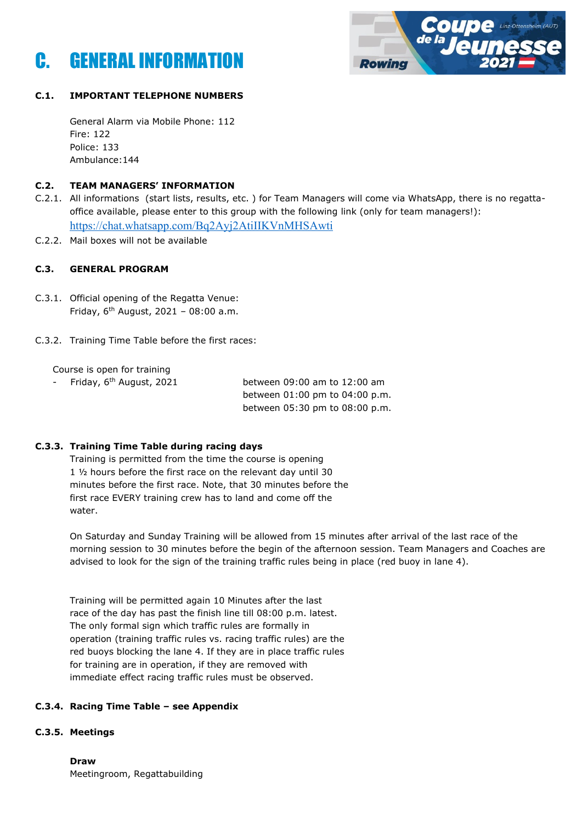



# **C.1. IMPORTANT TELEPHONE NUMBERS**

General Alarm via Mobile Phone: 112 Fire: 122 Police: 133 Ambulance:144

### **C.2. TEAM MANAGERS' INFORMATION**

- C.2.1. All informations (start lists, results, etc. ) for Team Managers will come via WhatsApp, there is no regattaoffice available, please enter to this group with the following link (only for team managers!): <https://chat.whatsapp.com/Bq2Ayj2AtiIIKVnMHSAwti>
- C.2.2. Mail boxes will not be available

### **C.3. GENERAL PROGRAM**

- C.3.1. Official opening of the Regatta Venue: Friday,  $6^{th}$  August, 2021 - 08:00 a.m.
- C.3.2. Training Time Table before the first races:

Course is open for training

- Friday, 6<sup>th</sup> August, 2021 between 09:00 am to 12:00 am between 01:00 pm to 04:00 p.m. between 05:30 pm to 08:00 p.m.

# **C.3.3. Training Time Table during racing days**

Training is permitted from the time the course is opening 1 ½ hours before the first race on the relevant day until 30 minutes before the first race. Note, that 30 minutes before the first race EVERY training crew has to land and come off the water.

On Saturday and Sunday Training will be allowed from 15 minutes after arrival of the last race of the morning session to 30 minutes before the begin of the afternoon session. Team Managers and Coaches are advised to look for the sign of the training traffic rules being in place (red buoy in lane 4).

Training will be permitted again 10 Minutes after the last race of the day has past the finish line till 08:00 p.m. latest. The only formal sign which traffic rules are formally in operation (training traffic rules vs. racing traffic rules) are the red buoys blocking the lane 4. If they are in place traffic rules for training are in operation, if they are removed with immediate effect racing traffic rules must be observed.

# **C.3.4. Racing Time Table – see Appendix**

### **C.3.5. Meetings**

**Draw** Meetingroom, Regattabuilding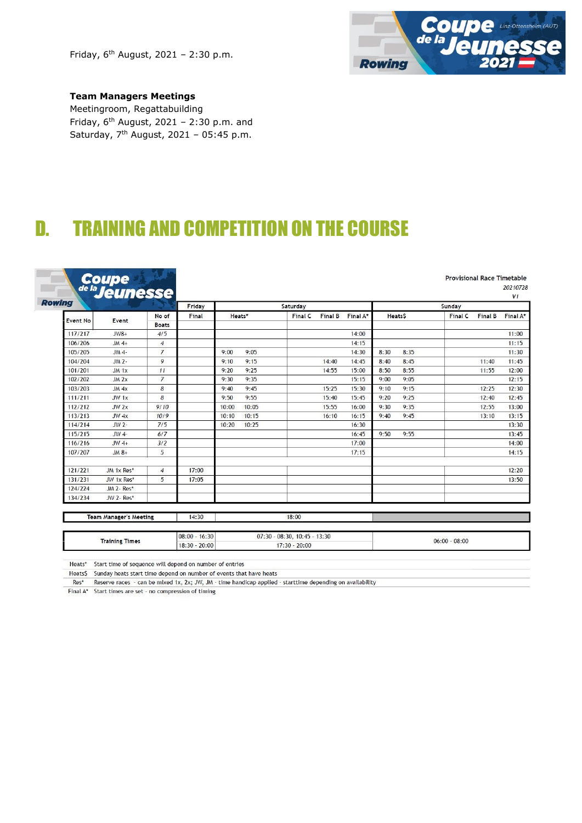Friday,  $6^{th}$  August, 2021 - 2:30 p.m.



# **Team Managers Meetings**

Ľ

Meetingroom, Regattabuilding Friday,  $6^{th}$  August, 2021 - 2:30 p.m. and Saturday,  $7<sup>th</sup>$  August, 2021 - 05:45 p.m.

# D. TRAINING AND COMPETITION ON THE COURSE

| Coupe<br>de la <b>Jeunesse</b><br>Rowing |            |                | Friday |                                                        | Saturday |                                  |       |                |          | Sunday |       |       |
|------------------------------------------|------------|----------------|--------|--------------------------------------------------------|----------|----------------------------------|-------|----------------|----------|--------|-------|-------|
|                                          |            | No of          | Final  | <b>Final C</b><br>Final A*<br>Heats*<br><b>Final B</b> |          | <b>Final C</b><br><b>Heats\$</b> |       | <b>Final B</b> | Final A* |        |       |       |
| <b>Event No</b>                          | Event      | <b>Boats</b>   |        |                                                        |          |                                  |       |                |          |        |       |       |
| 117/217                                  | $JW8+$     | 4/5            |        |                                                        |          |                                  | 14:00 |                |          |        |       | 11:00 |
| 106/206                                  | $JM$ 4+    | $\overline{4}$ |        |                                                        |          |                                  | 14:15 |                |          |        |       | 11:15 |
| 105/205                                  | $JM$ 4-    | $\overline{7}$ |        | 9:05<br>9:00                                           |          |                                  | 14:30 | 8:30           | 8:35     |        |       | 11:30 |
| 104/204                                  | $JM$ 2-    | 9              |        | 9:15<br>9:10                                           |          | 14:40                            | 14:45 | 8:40           | 8:45     |        | 11:40 |       |
| 101/201                                  | $JM$ 1 $x$ | 11             |        | 9:25<br>9:20                                           |          | 14:55                            | 15:00 | 8:50           | 8:55     |        | 11:55 |       |
| 102/202                                  | $JM$ $2x$  | $\overline{7}$ |        | 9:35<br>9:30                                           |          |                                  | 15:15 | 9:00           | 9:05     |        |       |       |
| 103/203                                  | $JM$ 4x    | 8              |        | 9:45<br>9:40                                           |          | 15:25                            | 15:30 | 9:10           | 9:15     |        | 12:25 |       |
| 111/211                                  | $JW_1x$    | 8              |        | 9:55<br>9:50                                           |          | 15:40                            | 15:45 | 9:20           | 9:25     |        | 12:40 |       |
| 112/212                                  | $JW$ $2x$  | 9/10           |        | 10:05<br>10:00                                         |          | 15:55                            | 16:00 | 9:30           | 9:35     |        | 12:55 |       |
| 113/213                                  | $JW$ 4 $x$ | 10/9           |        | 10:15<br>10:10                                         |          | 16:10                            | 16:15 | 9:40           | 9:45     |        | 13:10 |       |
| 114/214                                  | $JW2-$     | 7/5            |        | 10:25<br>10:20                                         |          |                                  | 16:30 |                |          |        |       |       |
| 115/215                                  | $JW$ 4-    | 6/7            |        |                                                        |          |                                  | 16:45 | 9:50           | 9:55     |        |       |       |
| 116/216                                  | $JW$ 4+    | 3/2            |        |                                                        |          |                                  | 17:00 |                |          |        |       |       |
| 107/207                                  | $JM$ $8+$  | 5              |        |                                                        |          |                                  | 17:15 |                |          |        |       |       |
| 121/221                                  | JM 1x Res* | $\overline{4}$ | 17:00  |                                                        |          |                                  |       |                |          |        |       |       |
| 131/231                                  | JW 1x Res* | 5              | 17:05  |                                                        |          |                                  |       |                |          |        |       |       |
| 124/224                                  | JM 2- Res* |                |        |                                                        |          |                                  |       |                |          |        |       |       |
| 134/234                                  | JW 2- Res* |                |        |                                                        |          |                                  |       |                |          |        |       |       |

Team Manager's Meeting 14:30 18:00

|                            | ---                   | 16:30<br>08:00 | 3:30<br>07:30<br>10:45<br>08:<br>-30.<br>,,,,,, | 08:00<br>06:00                   |
|----------------------------|-----------------------|----------------|-------------------------------------------------|----------------------------------|
| -----<br>- Tan an bailtean | <b>Training Times</b> | 20:00<br>18:30 | 20:00<br>7:30                                   | 52222053<br>나는 아이는 장애 정치 정치가 없다. |

Heats\* Start time of sequence will depend on number of entries

Heats\$ Sunday heats start time depend on number of events that have heats

Res<sup>\*</sup> Reserve races - can be mixed 1x, 2x; JW, JM - time handicap applied - starttime depending on availability<br>Final A\* Start times are set - no compression of timing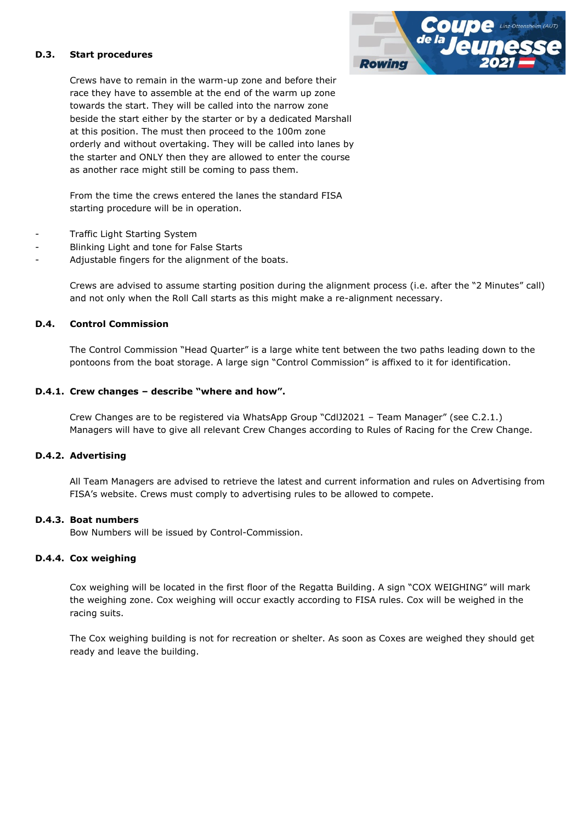### **D.3. Start procedures**

Crews have to remain in the warm-up zone and before their race they have to assemble at the end of the warm up zone towards the start. They will be called into the narrow zone beside the start either by the starter or by a dedicated Marshall at this position. The must then proceed to the 100m zone orderly and without overtaking. They will be called into lanes by the starter and ONLY then they are allowed to enter the course as another race might still be coming to pass them.

From the time the crews entered the lanes the standard FISA starting procedure will be in operation.

- Traffic Light Starting System
- Blinking Light and tone for False Starts
- Adjustable fingers for the alignment of the boats.

Crews are advised to assume starting position during the alignment process (i.e. after the "2 Minutes" call) and not only when the Roll Call starts as this might make a re-alignment necessary.

### **D.4. Control Commission**

The Control Commission "Head Quarter" is a large white tent between the two paths leading down to the pontoons from the boat storage. A large sign "Control Commission" is affixed to it for identification.

### **D.4.1. Crew changes – describe "where and how".**

Crew Changes are to be registered via WhatsApp Group "CdlJ2021 – Team Manager" (see C.2.1.) Managers will have to give all relevant Crew Changes according to Rules of Racing for the Crew Change.

### **D.4.2. Advertising**

All Team Managers are advised to retrieve the latest and current information and rules on Advertising from FISA's website. Crews must comply to advertising rules to be allowed to compete.

### **D.4.3. Boat numbers**

Bow Numbers will be issued by Control-Commission.

### **D.4.4. Cox weighing**

Cox weighing will be located in the first floor of the Regatta Building. A sign "COX WEIGHING" will mark the weighing zone. Cox weighing will occur exactly according to FISA rules. Cox will be weighed in the racing suits.

The Cox weighing building is not for recreation or shelter. As soon as Coxes are weighed they should get ready and leave the building.

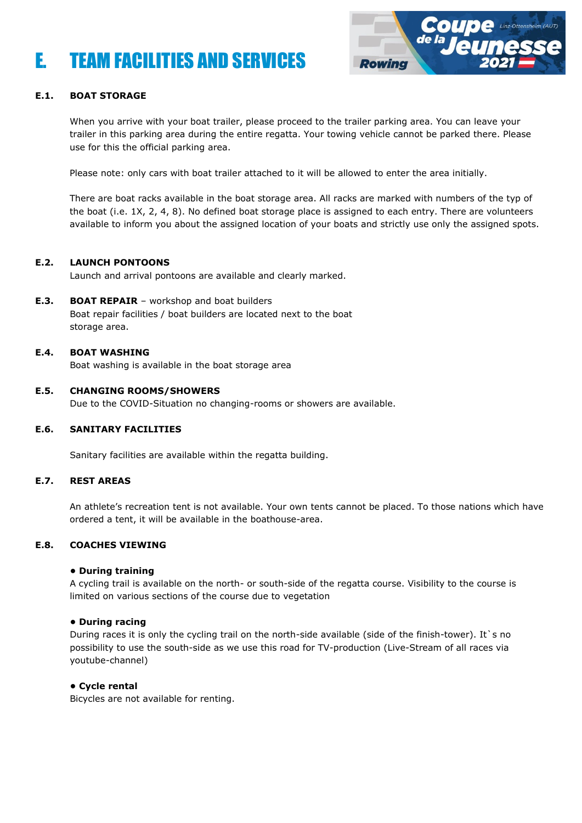# E. TEAM FACILITIES AND SERVICES



# **E.1. BOAT STORAGE**

When you arrive with your boat trailer, please proceed to the trailer parking area. You can leave your trailer in this parking area during the entire regatta. Your towing vehicle cannot be parked there. Please use for this the official parking area.

Please note: only cars with boat trailer attached to it will be allowed to enter the area initially.

There are boat racks available in the boat storage area. All racks are marked with numbers of the typ of the boat (i.e. 1X, 2, 4, 8). No defined boat storage place is assigned to each entry. There are volunteers available to inform you about the assigned location of your boats and strictly use only the assigned spots.

### **E.2. LAUNCH PONTOONS**

Launch and arrival pontoons are available and clearly marked.

**E.3. BOAT REPAIR** – workshop and boat builders

Boat repair facilities / boat builders are located next to the boat storage area.

### **E.4. BOAT WASHING**

Boat washing is available in the boat storage area

### **E.5. CHANGING ROOMS/SHOWERS**

Due to the COVID-Situation no changing-rooms or showers are available.

### **E.6. SANITARY FACILITIES**

Sanitary facilities are available within the regatta building.

### **E.7. REST AREAS**

An athlete's recreation tent is not available. Your own tents cannot be placed. To those nations which have ordered a tent, it will be available in the boathouse-area.

### **E.8. COACHES VIEWING**

### **• During training**

A cycling trail is available on the north- or south-side of the regatta course. Visibility to the course is limited on various sections of the course due to vegetation

### **• During racing**

During races it is only the cycling trail on the north-side available (side of the finish-tower). It `s no possibility to use the south-side as we use this road for TV-production (Live-Stream of all races via youtube-channel)

### **• Cycle rental**

Bicycles are not available for renting.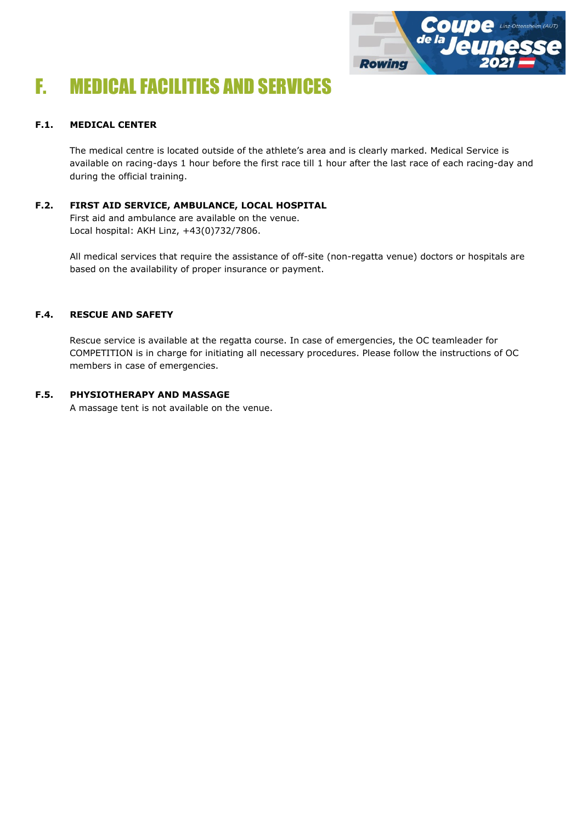

# F. MEDICAL FACILITIES AND SERVICES

# **F.1. MEDICAL CENTER**

The medical centre is located outside of the athlete's area and is clearly marked. Medical Service is available on racing-days 1 hour before the first race till 1 hour after the last race of each racing-day and during the official training.

**F.2. FIRST AID SERVICE, AMBULANCE, LOCAL HOSPITAL** First aid and ambulance are available on the venue. Local hospital: AKH Linz, +43(0)732/7806.

> All medical services that require the assistance of off-site (non-regatta venue) doctors or hospitals are based on the availability of proper insurance or payment.

# **F.4. RESCUE AND SAFETY**

Rescue service is available at the regatta course. In case of emergencies, the OC teamleader for COMPETITION is in charge for initiating all necessary procedures. Please follow the instructions of OC members in case of emergencies.

# **F.5. PHYSIOTHERAPY AND MASSAGE**

A massage tent is not available on the venue.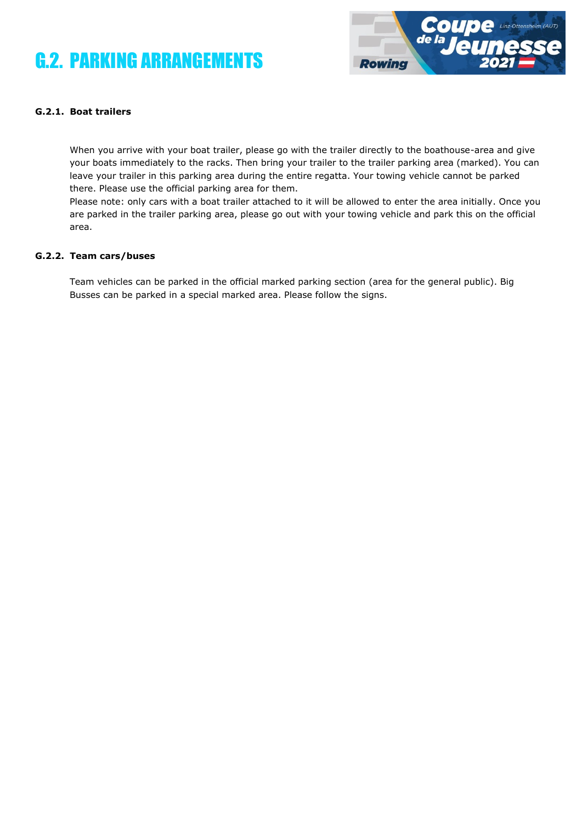# G.2. PARKING ARRANGEMENTS



# **G.2.1. Boat trailers**

When you arrive with your boat trailer, please go with the trailer directly to the boathouse-area and give your boats immediately to the racks. Then bring your trailer to the trailer parking area (marked). You can leave your trailer in this parking area during the entire regatta. Your towing vehicle cannot be parked there. Please use the official parking area for them.

Please note: only cars with a boat trailer attached to it will be allowed to enter the area initially. Once you are parked in the trailer parking area, please go out with your towing vehicle and park this on the official area.

#### **G.2.2. Team cars/buses**

Team vehicles can be parked in the official marked parking section (area for the general public). Big Busses can be parked in a special marked area. Please follow the signs.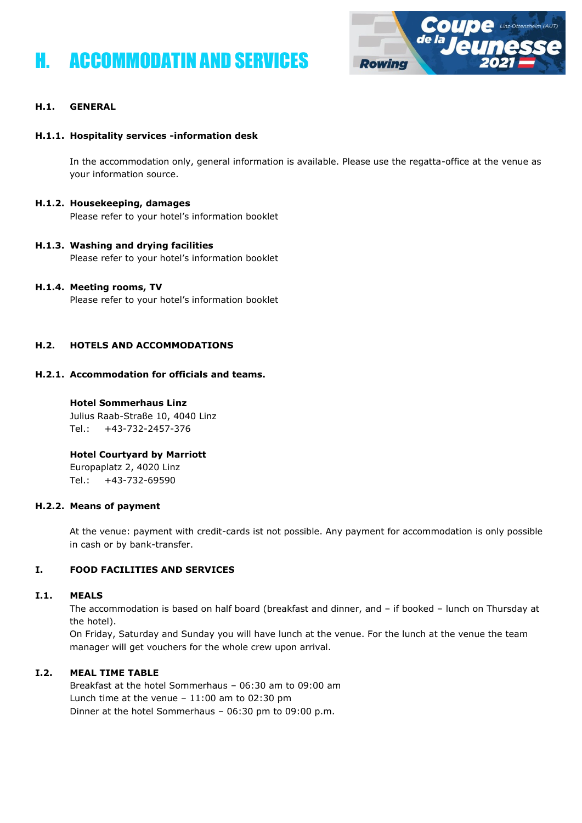# H. ACCOMMODATIN AND SERVICES



# **H.1. GENERAL**

### **H.1.1. Hospitality services -information desk**

In the accommodation only, general information is available. Please use the regatta-office at the venue as your information source.

### **H.1.2. Housekeeping, damages**

Please refer to your hotel's information booklet

# **H.1.3. Washing and drying facilities**

Please refer to your hotel's information booklet

### **H.1.4. Meeting rooms, TV**

Please refer to your hotel's information booklet

# **H.2. HOTELS AND ACCOMMODATIONS**

# **H.2.1. Accommodation for officials and teams.**

### **Hotel Sommerhaus Linz**

Julius Raab-Straße 10, 4040 Linz Tel.: +43-732-2457-376

# **Hotel Courtyard by Marriott**

Europaplatz 2, 4020 Linz Tel.: +43-732-69590

### **H.2.2. Means of payment**

At the venue: payment with credit-cards ist not possible. Any payment for accommodation is only possible in cash or by bank-transfer.

# **I. FOOD FACILITIES AND SERVICES**

### **I.1. MEALS**

The accommodation is based on half board (breakfast and dinner, and – if booked – lunch on Thursday at the hotel).

On Friday, Saturday and Sunday you will have lunch at the venue. For the lunch at the venue the team manager will get vouchers for the whole crew upon arrival.

### **I.2. MEAL TIME TABLE**

Breakfast at the hotel Sommerhaus – 06:30 am to 09:00 am Lunch time at the venue  $-11:00$  am to 02:30 pm Dinner at the hotel Sommerhaus – 06:30 pm to 09:00 p.m.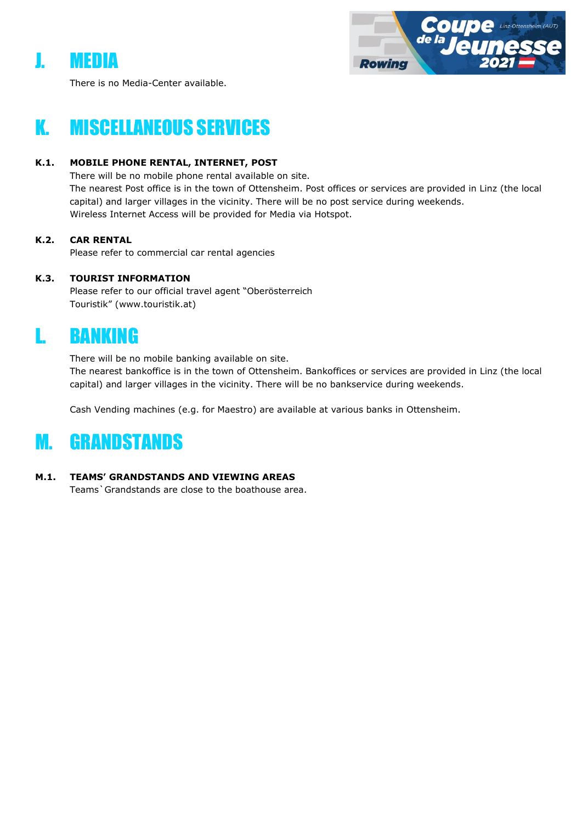# J. MEDIA



There is no Media-Center available.

# K. MISCELLANEOUS SERVICES

# **K.1. MOBILE PHONE RENTAL, INTERNET, POST**

There will be no mobile phone rental available on site. The nearest Post office is in the town of Ottensheim. Post offices or services are provided in Linz (the local capital) and larger villages in the vicinity. There will be no post service during weekends. Wireless Internet Access will be provided for Media via Hotspot.

# **K.2. CAR RENTAL**

Please refer to commercial car rental agencies

# **K.3. TOURIST INFORMATION**

Please refer to our official travel agent "Oberösterreich Touristik" (www.touristik.at)

# L. BANKING

There will be no mobile banking available on site. The nearest bankoffice is in the town of Ottensheim. Bankoffices or services are provided in Linz (the local capital) and larger villages in the vicinity. There will be no bankservice during weekends.

Cash Vending machines (e.g. for Maestro) are available at various banks in Ottensheim.

# M. GRANDSTANDS

# **M.1. TEAMS' GRANDSTANDS AND VIEWING AREAS**

Teams`Grandstands are close to the boathouse area.